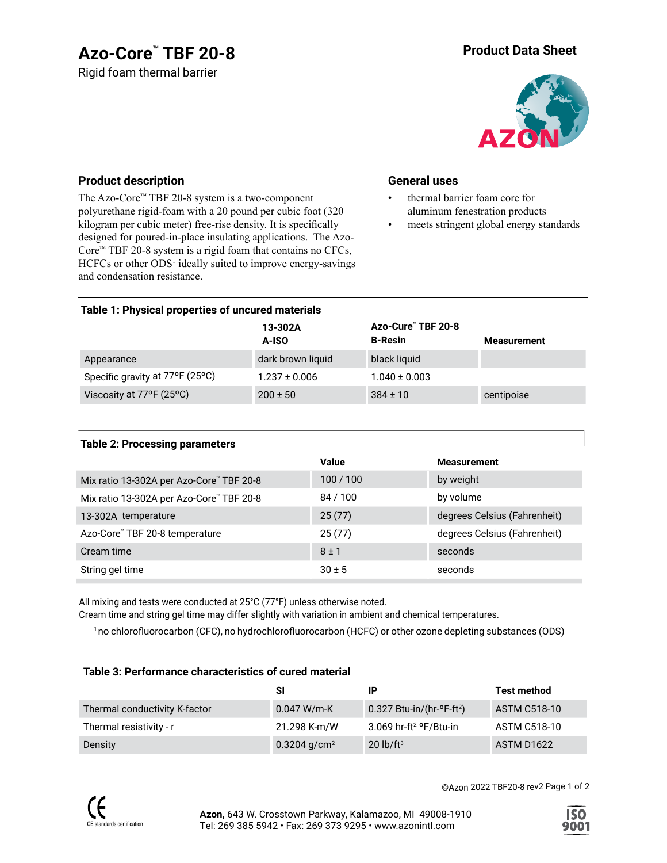# **Azo-Core™ Product Data Sheet TBF 20-8**

Rigid foam thermal barrier



### **Product description**

The Azo-Core™ TBF 20-8 system is a two-component polyurethane rigid-foam with a 20 pound per cubic foot (320 kilogram per cubic meter) free-rise density. It is specifically designed for poured-in-place insulating applications. The Azo-Core™ TBF 20-8 system is a rigid foam that contains no CFCs, HCFCs or other ODS<sup>1</sup> ideally suited to improve energy-savings and condensation resistance.

#### **General uses**

- thermal barrier foam core for aluminum fenestration products
- meets stringent global energy standards

#### **Table 1: Physical properties of uncured materials**

|                                 | 13-302A<br>A-ISO  | Azo-Cure" TBF 20-8<br><b>B-Resin</b> | Measurement |
|---------------------------------|-------------------|--------------------------------------|-------------|
| Appearance                      | dark brown liquid | black liquid                         |             |
| Specific gravity at 77°F (25°C) | $1.237 \pm 0.006$ | $1.040 \pm 0.003$                    |             |
| Viscosity at 77°F (25°C)        | $200 \pm 50$      | $384 \pm 10$                         | centipoise  |

#### **Table 2: Processing parameters**

|                                          | <b>Value</b> | <b>Measurement</b>           |
|------------------------------------------|--------------|------------------------------|
| Mix ratio 13-302A per Azo-Core" TBF 20-8 | 100/100      | by weight                    |
| Mix ratio 13-302A per Azo-Core" TBF 20-8 | 84 / 100     | by volume                    |
| 13-302A temperature                      | 25(77)       | degrees Celsius (Fahrenheit) |
| Azo-Core" TBF 20-8 temperature           | 25(77)       | degrees Celsius (Fahrenheit) |
| Cream time                               | $8 \pm 1$    | seconds                      |
| String gel time                          | $30 \pm 5$   | seconds                      |

All mixing and tests were conducted at 25°C (77°F) unless otherwise noted.

Cream time and string gel time may differ slightly with variation in ambient and chemical temperatures.

<sup>1</sup>no chlorofluorocarbon (CFC), no hydrochlorofluorocarbon (HCFC) or other ozone depleting substances (ODS)

| Table 3: Performance characteristics of cured material |                          |                                            |                     |  |  |
|--------------------------------------------------------|--------------------------|--------------------------------------------|---------------------|--|--|
|                                                        | SI                       | IP                                         | <b>Test method</b>  |  |  |
| Thermal conductivity K-factor                          | $0.047 W/m-K$            | $0.327$ Btu-in/(hr- $\text{P-F-tt}^2$ )    | <b>ASTM C518-10</b> |  |  |
| Thermal resistivity - r                                | 21.298 K-m/W             | 3.069 hr-ft <sup>2</sup> $\text{P/Etu-in}$ | <b>ASTM C518-10</b> |  |  |
| Density                                                | 0.3204 g/cm <sup>2</sup> | $20$ lb/ft <sup>3</sup>                    | <b>ASTM D1622</b>   |  |  |



©Azon 2022 TBF20-8 rev2 Page 1 of 2